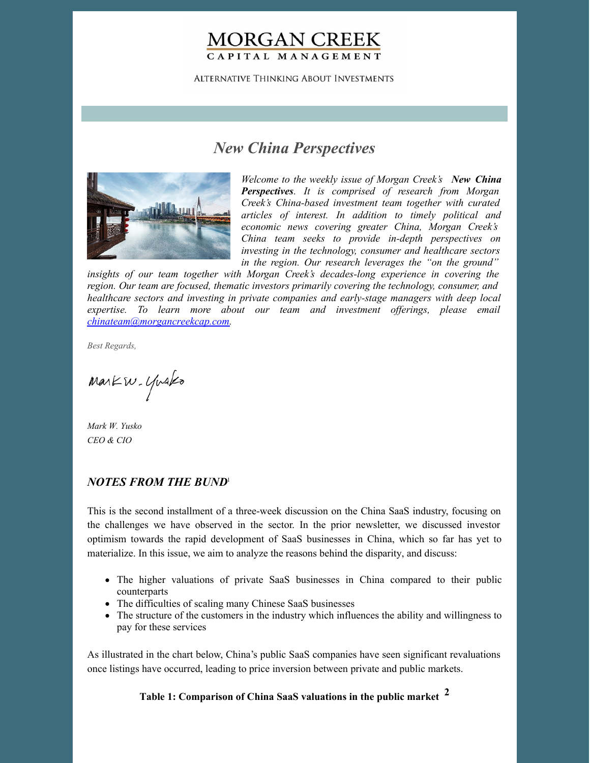## **MORGAN CREEK** CAPITAL MANAGEMENT

**ALTERNATIVE THINKING ABOUT INVESTMENTS** 

# *New China Perspectives*



*Welcome to the weekly issue of Morgan Creek's New China Perspectives. It is comprised of research from Morgan Creek's China-based investment team together with curated articles of interest. In addition to timely political and economic news covering greater China, Morgan Creek's China team seeks to provide in-depth perspectives on investing in the technology, consumer and healthcare sectors in the region. Our research leverages the "on the ground"*

*insights of our team together with Morgan Creek's decades-long experience in covering the region. Our team are focused, thematic investors primarily covering the technology, consumer, and healthcare sectors and investing in private companies and early-stage managers with deep local expertise. To learn more about our team and investment of erings, please email [chinateam@morgancreekcap.com](mailto:chinateam@morgancreekcap.com).*

*Best Regards,*

Markw. Yusko

*Mark W. Yusko CEO & CIO*

## *NOTES FROM THE BUND* 1

This is the second installment of a three-week discussion on the China SaaS industry, focusing on the challenges we have observed in the sector. In the prior newsletter, we discussed investor optimism towards the rapid development of SaaS businesses in China, which so far has yet to materialize. In this issue, we aim to analyze the reasons behind the disparity, and discuss:

- The higher valuations of private SaaS businesses in China compared to their public counterparts
- The difficulties of scaling many Chinese SaaS businesses
- The structure of the customers in the industry which influences the ability and willingness to pay for these services

As illustrated in the chart below, China's public SaaS companies have seen significant revaluations once listings have occurred, leading to price inversion between private and public markets.

**Table 1: Comparison of China SaaS valuations in the public market 2**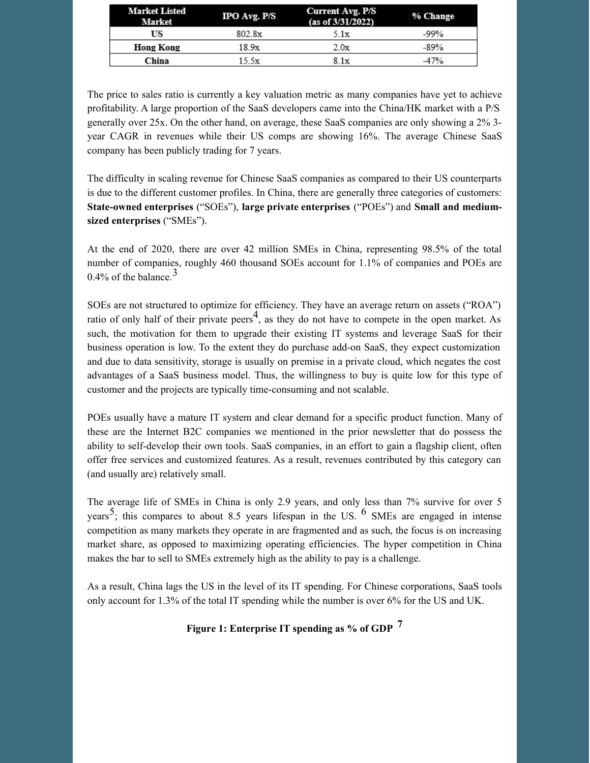| <b>Market Listed</b><br>Market | IPO Avg. P/S | <b>Current Avg. P/S</b><br>(as of 3/31/2022) | % Change |
|--------------------------------|--------------|----------------------------------------------|----------|
| US                             | 802.8x       | 5.1x                                         | $-99%$   |
| Hong Kong                      | 18.9x        | 2.0x                                         | $-89%$   |
| China                          | 15.5x        | 8.1x                                         | -47%     |

The price to sales ratio is currently a key valuation metric as many companies have yet to achieve profitability. A large proportion of the SaaS developers came into the China/HK market with a P/S generally over 25x. On the other hand, on average, these SaaS companies are only showing a 2% 3 year CAGR in revenues while their US comps are showing 16%. The average Chinese SaaS company has been publicly trading for 7 years.

The difficulty in scaling revenue for Chinese SaaS companies as compared to their US counterparts is due to the different customer profiles. In China, there are generally three categories of customers: **State-owned enterprises** ("SOEs"), **large private enterprises** ("POEs") and **Small and mediumsized enterprises** ("SMEs").

At the end of 2020, there are over 42 million SMEs in China, representing 98.5% of the total number of companies, roughly 460 thousand SOEs account for 1.1% of companies and POEs are 0.4% of the balance.<sup>3</sup>

SOEs are not structured to optimize for efficiency. They have an average return on assets ("ROA") ratio of only half of their private peers<sup>4</sup>, as they do not have to compete in the open market. As such, the motivation for them to upgrade their existing IT systems and leverage SaaS for their business operation is low. To the extent they do purchase add-on SaaS, they expect customization and due to data sensitivity, storage is usually on premise in a private cloud, which negates the cost advantages of a SaaS business model. Thus, the willingness to buy is quite low for this type of customer and the projects are typically time-consuming and not scalable.

POEs usually have a mature IT system and clear demand for a specific product function. Many of these are the Internet B2C companies we mentioned in the prior newsletter that do possess the ability to self-develop their own tools. SaaS companies, in an effort to gain a flagship client, often offer free services and customized features. As a result, revenues contributed by this category can (and usually are) relatively small.

The average life of SMEs in China is only 2.9 years, and only less than 7% survive for over 5 years<sup>5</sup>; this compares to about 8.5 years lifespan in the US. <sup>6</sup> SMEs are engaged in intense competition as many markets they operate in are fragmented and as such, the focus is on increasing market share, as opposed to maximizing operating efficiencies. The hyper competition in China makes the bar to sell to SMEs extremely high as the ability to pay is a challenge.

As a result, China lags the US in the level of its IT spending. For Chinese corporations, SaaS tools only account for 1.3% of the total IT spending while the number is over 6% for the US and UK.

## **Figure 1: Enterprise IT spending as % of GDP 7**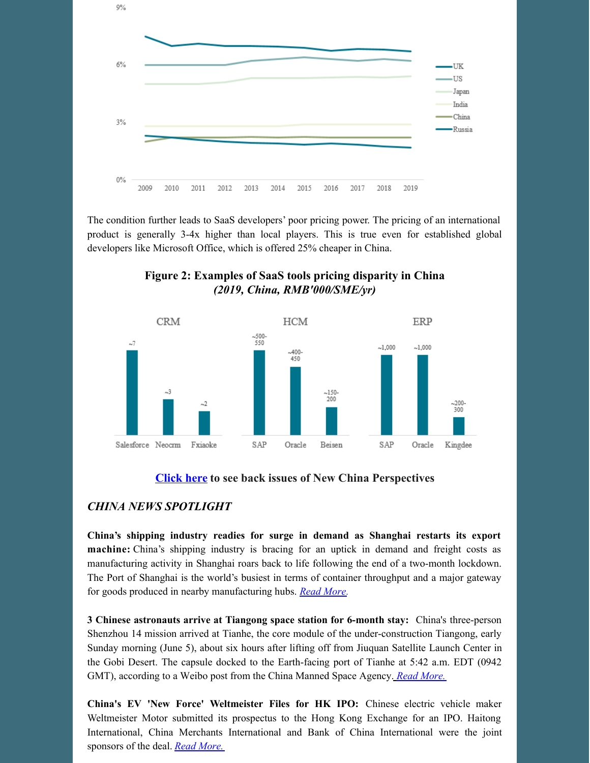

The condition further leads to SaaS developers' poor pricing power. The pricing of an international product is generally 3-4x higher than local players. This is true even for established global developers like Microsoft Office, which is offered 25% cheaper in China.

**Figure 2: Examples of SaaS tools pricing disparity in China** *(2019, China, RMB'000/SME/yr)*



### **[Click](https://www.morgancreekcap.com/market-commentary/#investment-process) here to see back issues of New China Perspectives**

### *CHINA NEWS SPOTLIGHT*

**China's shipping industry readies for surge in demand as Shanghai restarts its export machine:** China's shipping industry is bracing for an uptick in demand and freight costs as manufacturing activity in Shanghai roars back to life following the end of a two-month lockdown. The Port of Shanghai is the world's busiest in terms of container throughput and a major gateway for goods produced in nearby manufacturing hubs. *Read [More](https://www.scmp.com/economy/china-economy/article/3180342/chinas-shipping-industry-readies-surge-demand-shanghai).*

**3 Chinese astronauts arrive at Tiangong space station for 6-month stay:** China's three-person Shenzhou 14 mission arrived at Tianhe, the core module of the under-construction Tiangong, early Sunday morning (June 5), about six hours after lifting off from Jiuquan Satellite Launch Center in the Gobi Desert. The capsule docked to the Earth-facing port of Tianhe at 5:42 a.m. EDT (0942 GMT), according to a Weibo post from the China Manned Space Agency[.](https://www.space.com/china-shenzhou-14-mission-arrives-tiangong-space-station) *Read [More.](https://www.space.com/china-shenzhou-14-mission-arrives-tiangong-space-station)*

**China's EV 'New Force' Weltmeister Files for HK IPO:** Chinese electric vehicle maker Weltmeister Motor submitted its prospectus to the Hong Kong Exchange for an IPO. Haitong International, China Merchants International and Bank of China International were the joint sponsors of the deal. *Read [More.](https://equalocean.com/news/2022060118175)*